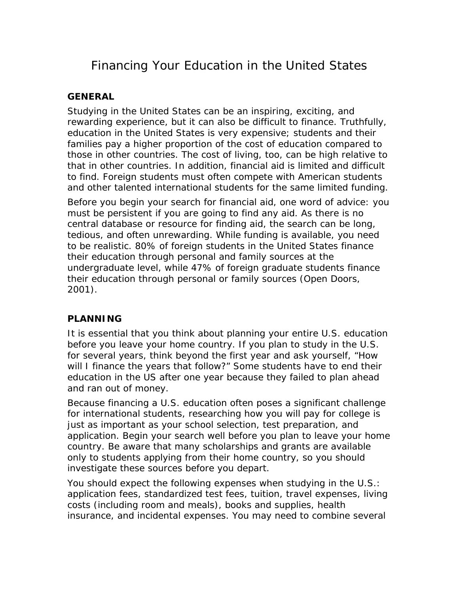# Financing Your Education in the United States

# **GENERAL**

Studying in the United States can be an inspiring, exciting, and rewarding experience, but it can also be difficult to finance. Truthfully, education in the United States is very expensive; students and their families pay a higher proportion of the cost of education compared to those in other countries. The cost of living, too, can be high relative to that in other countries. In addition, financial aid is limited and difficult to find. Foreign students must often compete with American students and other talented international students for the same limited funding.

Before you begin your search for financial aid, one word of advice: you must be persistent if you are going to find *any* aid. As there is no central database or resource for finding aid, the search can be long, tedious, and often unrewarding. While funding is available, you need to be realistic. 80% of foreign students in the United States finance their education through personal and family sources at the undergraduate level, while 47% of foreign graduate students finance their education through personal or family sources (Open Doors, 2001).

# **PLANNING**

It is essential that you think about planning your entire U.S. education before you leave your home country. If you plan to study in the U.S. for several years, think beyond the first year and ask yourself, "How will I finance the years that follow?" Some students have to end their education in the US after one year because they failed to plan ahead and ran out of money.

Because financing a U.S. education often poses a significant challenge for international students, researching how you will pay for college is just as important as your school selection, test preparation, and application. Begin your search well before you plan to leave your home country. Be aware that many scholarships and grants are available only to students applying from their home country, so you should investigate these sources before you depart.

You should expect the following expenses when studying in the U.S.: application fees, standardized test fees, tuition, travel expenses, living costs (including room and meals), books and supplies, health insurance, and incidental expenses. You may need to combine several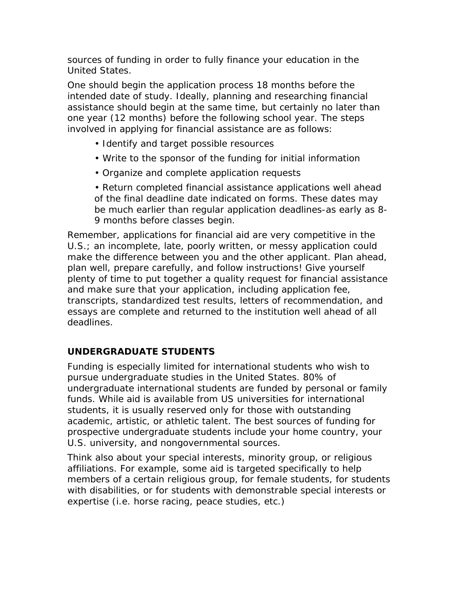sources of funding in order to fully finance your education in the United States.

One should begin the application process 18 months before the intended date of study. Ideally, planning and researching financial assistance should begin at the same time, but certainly no later than one year (12 months) before the following school year. The steps involved in applying for financial assistance are as follows:

- Identify and target possible resources
- Write to the sponsor of the funding for initial information
- Organize and complete application requests

• Return completed financial assistance applications well ahead of the final deadline date indicated on forms. These dates may be much earlier than regular application deadlines-as early as 8- 9 months before classes begin.

Remember, applications for financial aid are very competitive in the U.S.; an incomplete, late, poorly written, or messy application could make the difference between you and the other applicant. Plan ahead, plan well, prepare carefully, and follow instructions! Give yourself plenty of time to put together a quality request for financial assistance and make sure that your application, including application fee, transcripts, standardized test results, letters of recommendation, and essays are complete and returned to the institution well ahead of all deadlines.

# **UNDERGRADUATE STUDENTS**

Funding is especially limited for international students who wish to pursue undergraduate studies in the United States. 80% of undergraduate international students are funded by personal or family funds. While aid is available from US universities for international students, it is usually reserved only for those with outstanding academic, artistic, or athletic talent. The best sources of funding for prospective undergraduate students include your home country, your U.S. university, and nongovernmental sources.

Think also about your special interests, minority group, or religious affiliations. For example, some aid is targeted specifically to help members of a certain religious group, for female students, for students with disabilities, or for students with demonstrable special interests or expertise (i.e. horse racing, peace studies, etc.)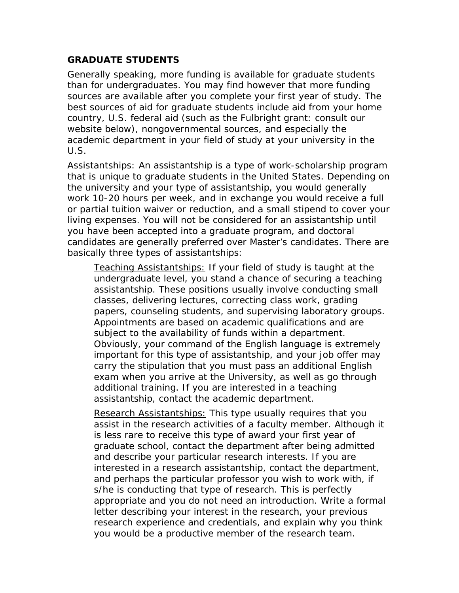#### **GRADUATE STUDENTS**

Generally speaking, more funding is available for graduate students than for undergraduates. You may find however that more funding sources are available after you complete your first year of study. The best sources of aid for graduate students include aid from your home country, U.S. federal aid (such as the Fulbright grant: consult our website below), nongovernmental sources, and especially the academic department in your field of study at your university in the U.S.

Assistantships: An assistantship is a type of work-scholarship program that is unique to graduate students in the United States. Depending on the university and your type of assistantship, you would generally work 10-20 hours per week, and in exchange you would receive a full or partial tuition waiver or reduction, and a small stipend to cover your living expenses. You will not be considered for an assistantship until you have been accepted into a graduate program, and doctoral candidates are generally preferred over Master's candidates. There are basically three types of assistantships:

*Teaching Assistantships*: If your field of study is taught at the undergraduate level, you stand a chance of securing a teaching assistantship. These positions usually involve conducting small classes, delivering lectures, correcting class work, grading papers, counseling students, and supervising laboratory groups. Appointments are based on academic qualifications and are subject to the availability of funds within a department. Obviously, your command of the English language is extremely important for this type of assistantship, and your job offer may carry the stipulation that you must pass an additional English exam when you arrive at the University, as well as go through additional training. If you are interested in a teaching assistantship, contact the academic department.

*Research Assistantships*: This type usually requires that you assist in the research activities of a faculty member. Although it is less rare to receive this type of award your first year of graduate school, contact the department after being admitted and describe your particular research interests. If you are interested in a research assistantship, contact the department, and perhaps the particular professor you wish to work with, if s/he is conducting that type of research. This is perfectly appropriate and you do not need an introduction. Write a formal letter describing your interest in the research, your previous research experience and credentials, and explain why you think you would be a productive member of the research team.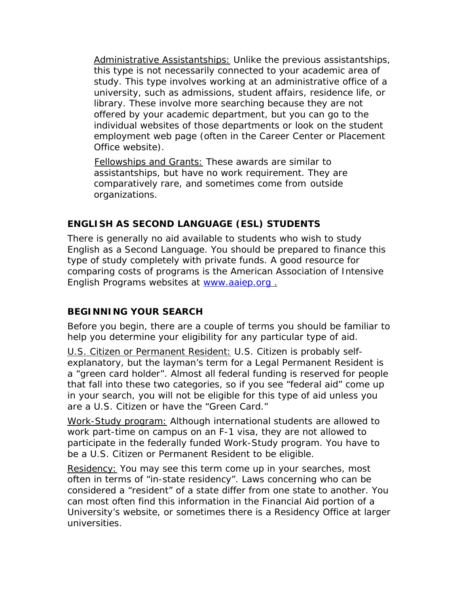*Administrative Assistantships*: Unlike the previous assistantships, this type is not necessarily connected to your academic area of study. This type involves working at an administrative office of a university, such as admissions, student affairs, residence life, or library. These involve more searching because they are not offered by your academic department, but you can go to the individual websites of those departments or look on the student employment web page (often in the Career Center or Placement Office website).

*Fellowships and Grants*: These awards are similar to assistantships, but have no work requirement. They are comparatively rare, and sometimes come from outside organizations.

# **ENGLISH AS SECOND LANGUAGE (ESL) STUDENTS**

There is generally no aid available to students who wish to study English as a Second Language. You should be prepared to finance this type of study completely with private funds. A good resource for comparing costs of programs is the American Association of Intensive English Programs websites at [www.aaiep.org](http://www.aaiep.org/) .

# **BEGINNING YOUR SEARCH**

Before you begin, there are a couple of terms you should be familiar to help you determine your eligibility for any particular type of aid.

*U.S. Citizen or Permanent Resident:* U.S. Citizen is probably selfexplanatory, but the layman's term for a Legal Permanent Resident is a "green card holder". Almost all federal funding is reserved for people that fall into these two categories, so if you see "federal aid" come up in your search, you will not be eligible for this type of aid unless you are a U.S. Citizen or have the "Green Card."

*Work-Study program:* Although international students are allowed to work part-time on campus on an F-1 visa, they are not allowed to participate in the federally funded Work-Study program. You have to be a U.S. Citizen or Permanent Resident to be eligible.

*Residency:* You may see this term come up in your searches, most often in terms of "in-state residency". Laws concerning who can be considered a "resident" of a state differ from one state to another. You can most often find this information in the Financial Aid portion of a University's website, or sometimes there is a Residency Office at larger universities.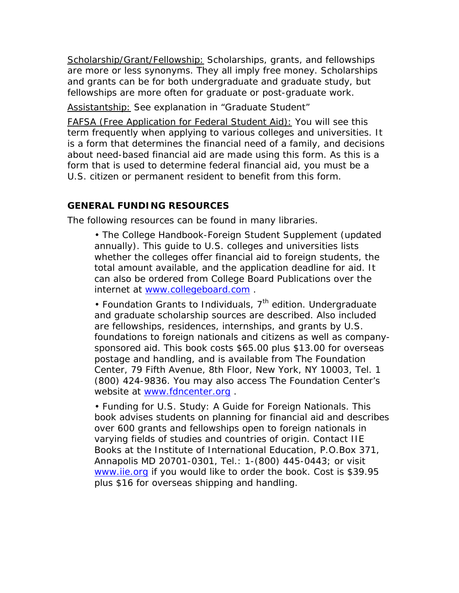*Scholarship/Grant/Fellowship:* Scholarships, grants, and fellowships are more or less synonyms. They all imply free money. Scholarships and grants can be for both undergraduate and graduate study, but fellowships are more often for graduate or post-graduate work.

*Assistantship:* See explanation in "Graduate Student"

*FAFSA (Free Application for Federal Student Aid):* You will see this term frequently when applying to various colleges and universities. It is a form that determines the financial need of a family, and decisions about need-based financial aid are made using this form. As this is a form that is used to determine federal financial aid, you must be a U.S. citizen or permanent resident to benefit from this form.

#### **GENERAL FUNDING RESOURCES**

The following resources can be found in many libraries.

• *The College Handbook-Foreign Student Supplement* (updated annually). This guide to U.S. colleges and universities lists whether the colleges offer financial aid to foreign students, the total amount available, and the application deadline for aid. It can also be ordered from College Board Publications over the internet at [www.collegeboard.com](http://www.collegeboard.com/) .

• *Foundation Grants to Individuals*, 7<sup>th</sup> edition. Undergraduate and graduate scholarship sources are described. Also included are fellowships, residences, internships, and grants by U.S. foundations to foreign nationals and citizens as well as companysponsored aid. This book costs \$65.00 plus \$13.00 for overseas postage and handling, and is available from The Foundation Center, 79 Fifth Avenue, 8th Floor, New York, NY 10003, Tel. 1 (800) 424-9836. You may also access The Foundation Center's website at www.fdncenter.org.

• *Funding for U.S. Study: A Guide for Foreign Nationals*. This book advises students on planning for financial aid and describes over 600 grants and fellowships open to foreign nationals in varying fields of studies and countries of origin. Contact IIE Books at the Institute of International Education, P.O.Box 371, Annapolis MD 20701-0301, Tel.: 1-(800) 445-0443; or visit [www.iie.org](http://www.iie.org/) if you would like to order the book. Cost is \$39.95 plus \$16 for overseas shipping and handling.